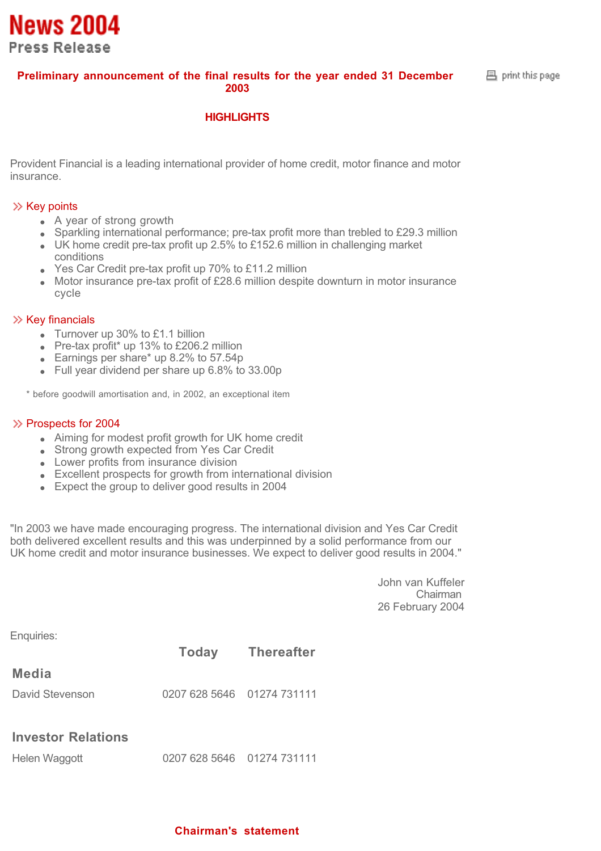

 $B$  print this page.

#### **HIGHLIGHTS**

Provident Financial is a leading international provider of home credit, motor finance and motor insurance.

#### $\gg$  Key points

**News 2004** 

**Press Release** 

- A year of strong growth
- $\bullet$  Sparkling international performance; pre-tax profit more than trebled to £29.3 million
- UK home credit pre-tax profit up 2.5% to £152.6 million in challenging market conditions
- Yes Car Credit pre-tax profit up 70% to £11.2 million
- Motor insurance pre-tax profit of £28.6 million despite downturn in motor insurance cycle

#### $\gg$  Key financials

- Turnover up 30% to £1.1 billion
- Pre-tax profit\* up 13% to £206.2 million
- Earnings per share\* up 8.2% to 57.54p
- Full year dividend per share up 6.8% to 33.00p

\* before goodwill amortisation and, in 2002, an exceptional item

#### $\gg$  Prospects for 2004

- Aiming for modest profit growth for UK home credit
- Strong growth expected from Yes Car Credit
- Lower profits from insurance division
- Excellent prospects for growth from international division
- Expect the group to deliver good results in 2004

"In 2003 we have made encouraging progress. The international division and Yes Car Credit both delivered excellent results and this was underpinned by a solid performance from our UK home credit and motor insurance businesses. We expect to deliver good results in 2004."

> John van Kuffeler Chairman 26 February 2004

Enquiries:

|                           |                            | <b>Today</b> Thereafter |  |
|---------------------------|----------------------------|-------------------------|--|
| Media                     |                            |                         |  |
| David Stevenson           | 0207 628 5646 01274 731111 |                         |  |
| <b>Investor Relations</b> |                            |                         |  |

| Helen Waggott | 0207 628 5646 01274 731111 |  |
|---------------|----------------------------|--|
|---------------|----------------------------|--|

#### **Chairman's statement**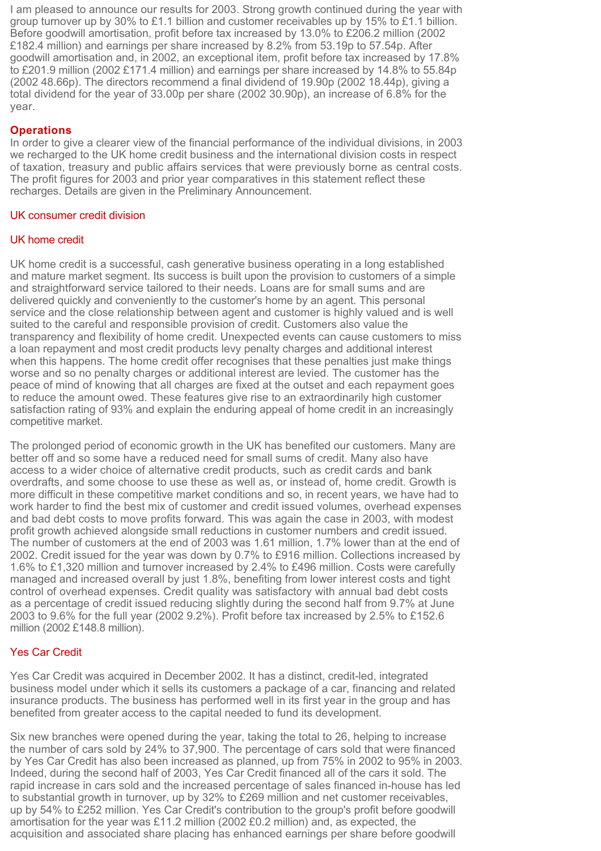I am pleased to announce our results for 2003. Strong growth continued during the year with group turnover up by 30% to £1.1 billion and customer receivables up by 15% to £1.1 billion. Before goodwill amortisation, profit before tax increased by 13.0% to £206.2 million (2002 £182.4 million) and earnings per share increased by 8.2% from 53.19p to 57.54p. After goodwill amortisation and, in 2002, an exceptional item, profit before tax increased by 17.8% to £201.9 million (2002 £171.4 million) and earnings per share increased by 14.8% to 55.84p (2002 48.66p). The directors recommend a final dividend of 19.90p (2002 18.44p), giving a total dividend for the year of 33.00p per share (2002 30.90p), an increase of 6.8% for the year.

#### **Operations**

In order to give a clearer view of the financial performance of the individual divisions, in 2003 we recharged to the UK home credit business and the international division costs in respect of taxation, treasury and public affairs services that were previously borne as central costs. The profit figures for 2003 and prior year comparatives in this statement reflect these recharges. Details are given in the Preliminary Announcement.

#### UK consumer credit division

#### UK home credit

UK home credit is a successful, cash generative business operating in a long established and mature market segment. Its success is built upon the provision to customers of a simple and straightforward service tailored to their needs. Loans are for small sums and are delivered quickly and conveniently to the customer's home by an agent. This personal service and the close relationship between agent and customer is highly valued and is well suited to the careful and responsible provision of credit. Customers also value the transparency and flexibility of home credit. Unexpected events can cause customers to miss a loan repayment and most credit products levy penalty charges and additional interest when this happens. The home credit offer recognises that these penalties just make things worse and so no penalty charges or additional interest are levied. The customer has the peace of mind of knowing that all charges are fixed at the outset and each repayment goes to reduce the amount owed. These features give rise to an extraordinarily high customer satisfaction rating of 93% and explain the enduring appeal of home credit in an increasingly competitive market.

The prolonged period of economic growth in the UK has benefited our customers. Many are better off and so some have a reduced need for small sums of credit. Many also have access to a wider choice of alternative credit products, such as credit cards and bank overdrafts, and some choose to use these as well as, or instead of, home credit. Growth is more difficult in these competitive market conditions and so, in recent years, we have had to work harder to find the best mix of customer and credit issued volumes, overhead expenses and bad debt costs to move profits forward. This was again the case in 2003, with modest profit growth achieved alongside small reductions in customer numbers and credit issued. The number of customers at the end of 2003 was 1.61 million, 1.7% lower than at the end of 2002. Credit issued for the year was down by 0.7% to £916 million. Collections increased by 1.6% to £1,320 million and turnover increased by 2.4% to £496 million. Costs were carefully managed and increased overall by just 1.8%, benefiting from lower interest costs and tight control of overhead expenses. Credit quality was satisfactory with annual bad debt costs as a percentage of credit issued reducing slightly during the second half from 9.7% at June 2003 to 9.6% for the full year (2002 9.2%). Profit before tax increased by 2.5% to £152.6 million (2002 £148.8 million).

#### Yes Car Credit

Yes Car Credit was acquired in December 2002. It has a distinct, credit-led, integrated business model under which it sells its customers a package of a car, financing and related insurance products. The business has performed well in its first year in the group and has benefited from greater access to the capital needed to fund its development.

Six new branches were opened during the year, taking the total to 26, helping to increase the number of cars sold by 24% to 37,900. The percentage of cars sold that were financed by Yes Car Credit has also been increased as planned, up from 75% in 2002 to 95% in 2003. Indeed, during the second half of 2003, Yes Car Credit financed all of the cars it sold. The rapid increase in cars sold and the increased percentage of sales financed in-house has led to substantial growth in turnover, up by 32% to £269 million and net customer receivables, up by 54% to £252 million. Yes Car Credit's contribution to the group's profit before goodwill amortisation for the year was £11.2 million (2002 £0.2 million) and, as expected, the acquisition and associated share placing has enhanced earnings per share before goodwill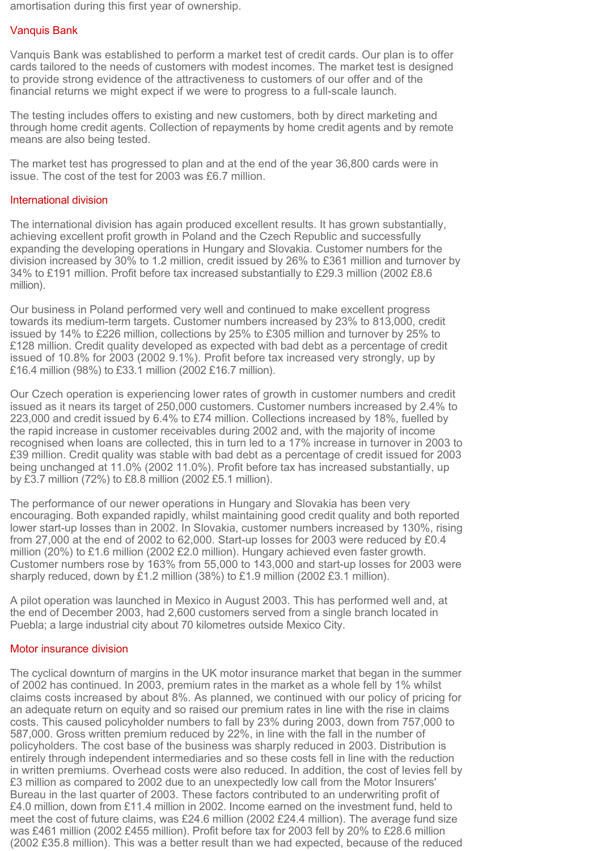amortisation during this first year of ownership.

#### Vanquis Bank

Vanquis Bank was established to perform a market test of credit cards. Our plan is to offer cards tailored to the needs of customers with modest incomes. The market test is designed to provide strong evidence of the attractiveness to customers of our offer and of the financial returns we might expect if we were to progress to a full-scale launch.

The testing includes offers to existing and new customers, both by direct marketing and through home credit agents. Collection of repayments by home credit agents and by remote means are also being tested.

The market test has progressed to plan and at the end of the year 36,800 cards were in issue. The cost of the test for 2003 was £6.7 million.

#### International division

The international division has again produced excellent results. It has grown substantially, achieving excellent profit growth in Poland and the Czech Republic and successfully expanding the developing operations in Hungary and Slovakia. Customer numbers for the division increased by 30% to 1.2 million, credit issued by 26% to £361 million and turnover by 34% to £191 million. Profit before tax increased substantially to £29.3 million (2002 £8.6 million).

Our business in Poland performed very well and continued to make excellent progress towards its medium-term targets. Customer numbers increased by 23% to 813,000, credit issued by 14% to £226 million, collections by 25% to £305 million and turnover by 25% to £128 million. Credit quality developed as expected with bad debt as a percentage of credit issued of 10.8% for 2003 (2002 9.1%). Profit before tax increased very strongly, up by £16.4 million (98%) to £33.1 million (2002 £16.7 million).

Our Czech operation is experiencing lower rates of growth in customer numbers and credit issued as it nears its target of 250,000 customers. Customer numbers increased by 2.4% to 223,000 and credit issued by 6.4% to £74 million. Collections increased by 18%, fuelled by the rapid increase in customer receivables during 2002 and, with the majority of income recognised when loans are collected, this in turn led to a 17% increase in turnover in 2003 to £39 million. Credit quality was stable with bad debt as a percentage of credit issued for 2003 being unchanged at 11.0% (2002 11.0%). Profit before tax has increased substantially, up by £3.7 million (72%) to £8.8 million (2002 £5.1 million).

The performance of our newer operations in Hungary and Slovakia has been very encouraging. Both expanded rapidly, whilst maintaining good credit quality and both reported lower start-up losses than in 2002. In Slovakia, customer numbers increased by 130%, rising from 27,000 at the end of 2002 to 62,000. Start-up losses for 2003 were reduced by £0.4 million (20%) to £1.6 million (2002 £2.0 million). Hungary achieved even faster growth. Customer numbers rose by 163% from 55,000 to 143,000 and start-up losses for 2003 were sharply reduced, down by £1.2 million (38%) to £1.9 million (2002 £3.1 million).

A pilot operation was launched in Mexico in August 2003. This has performed well and, at the end of December 2003, had 2,600 customers served from a single branch located in Puebla; a large industrial city about 70 kilometres outside Mexico City.

#### Motor insurance division

The cyclical downturn of margins in the UK motor insurance market that began in the summer of 2002 has continued. In 2003, premium rates in the market as a whole fell by 1% whilst claims costs increased by about 8%. As planned, we continued with our policy of pricing for an adequate return on equity and so raised our premium rates in line with the rise in claims costs. This caused policyholder numbers to fall by 23% during 2003, down from 757,000 to 587,000. Gross written premium reduced by 22%, in line with the fall in the number of policyholders. The cost base of the business was sharply reduced in 2003. Distribution is entirely through independent intermediaries and so these costs fell in line with the reduction in written premiums. Overhead costs were also reduced. In addition, the cost of levies fell by £3 million as compared to 2002 due to an unexpectedly low call from the Motor Insurers' Bureau in the last quarter of 2003. These factors contributed to an underwriting profit of £4.0 million, down from £11.4 million in 2002. Income earned on the investment fund, held to meet the cost of future claims, was £24.6 million (2002 £24.4 million). The average fund size was £461 million (2002 £455 million). Profit before tax for 2003 fell by 20% to £28.6 million (2002 £35.8 million). This was a better result than we had expected, because of the reduced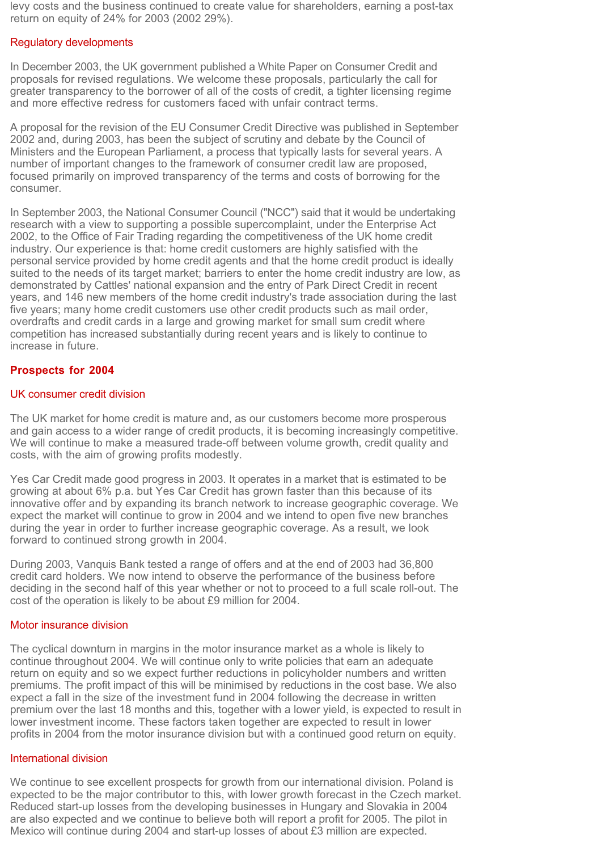levy costs and the business continued to create value for shareholders, earning a post-tax return on equity of 24% for 2003 (2002 29%).

#### Regulatory developments

In December 2003, the UK government published a White Paper on Consumer Credit and proposals for revised regulations. We welcome these proposals, particularly the call for greater transparency to the borrower of all of the costs of credit, a tighter licensing regime and more effective redress for customers faced with unfair contract terms.

A proposal for the revision of the EU Consumer Credit Directive was published in September 2002 and, during 2003, has been the subject of scrutiny and debate by the Council of Ministers and the European Parliament, a process that typically lasts for several years. A number of important changes to the framework of consumer credit law are proposed, focused primarily on improved transparency of the terms and costs of borrowing for the consumer.

In September 2003, the National Consumer Council ("NCC") said that it would be undertaking research with a view to supporting a possible supercomplaint, under the Enterprise Act 2002, to the Office of Fair Trading regarding the competitiveness of the UK home credit industry. Our experience is that: home credit customers are highly satisfied with the personal service provided by home credit agents and that the home credit product is ideally suited to the needs of its target market; barriers to enter the home credit industry are low, as demonstrated by Cattles' national expansion and the entry of Park Direct Credit in recent years, and 146 new members of the home credit industry's trade association during the last five years; many home credit customers use other credit products such as mail order, overdrafts and credit cards in a large and growing market for small sum credit where competition has increased substantially during recent years and is likely to continue to increase in future.

#### **Prospects for 2004**

#### UK consumer credit division

The UK market for home credit is mature and, as our customers become more prosperous and gain access to a wider range of credit products, it is becoming increasingly competitive. We will continue to make a measured trade-off between volume growth, credit quality and costs, with the aim of growing profits modestly.

Yes Car Credit made good progress in 2003. It operates in a market that is estimated to be growing at about 6% p.a. but Yes Car Credit has grown faster than this because of its innovative offer and by expanding its branch network to increase geographic coverage. We expect the market will continue to grow in 2004 and we intend to open five new branches during the year in order to further increase geographic coverage. As a result, we look forward to continued strong growth in 2004.

During 2003, Vanquis Bank tested a range of offers and at the end of 2003 had 36,800 credit card holders. We now intend to observe the performance of the business before deciding in the second half of this year whether or not to proceed to a full scale roll-out. The cost of the operation is likely to be about £9 million for 2004.

#### Motor insurance division

The cyclical downturn in margins in the motor insurance market as a whole is likely to continue throughout 2004. We will continue only to write policies that earn an adequate return on equity and so we expect further reductions in policyholder numbers and written premiums. The profit impact of this will be minimised by reductions in the cost base. We also expect a fall in the size of the investment fund in 2004 following the decrease in written premium over the last 18 months and this, together with a lower yield, is expected to result in lower investment income. These factors taken together are expected to result in lower profits in 2004 from the motor insurance division but with a continued good return on equity.

#### International division

We continue to see excellent prospects for growth from our international division. Poland is expected to be the major contributor to this, with lower growth forecast in the Czech market. Reduced start-up losses from the developing businesses in Hungary and Slovakia in 2004 are also expected and we continue to believe both will report a profit for 2005. The pilot in Mexico will continue during 2004 and start-up losses of about £3 million are expected.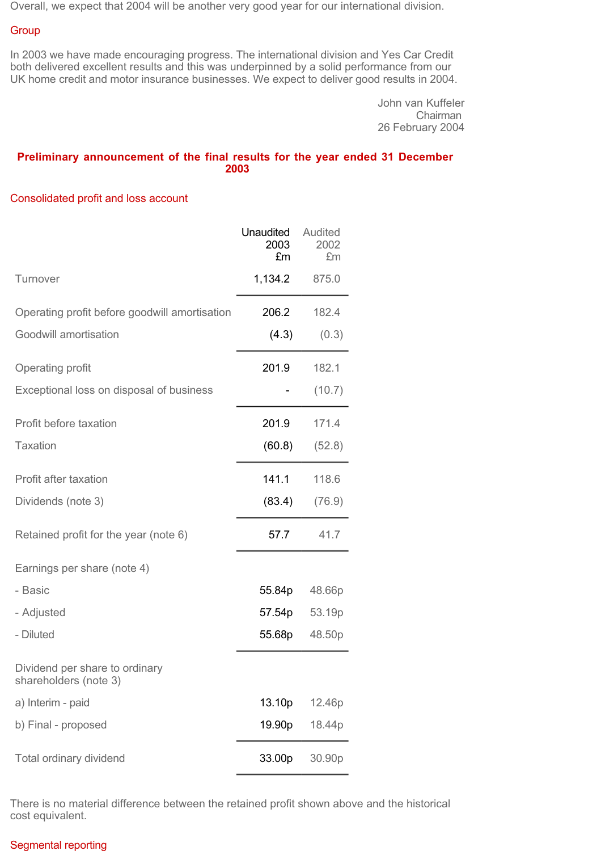Overall, we expect that 2004 will be another very good year for our international division.

#### **Group**

In 2003 we have made encouraging progress. The international division and Yes Car Credit both delivered excellent results and this was underpinned by a solid performance from our UK home credit and motor insurance businesses. We expect to deliver good results in 2004.

> John van Kuffeler Chairman 26 February 2004

#### **Preliminary announcement of the final results for the year ended 31 December 2003**

#### Consolidated profit and loss account

|                                                         | Unaudited<br>2003<br>£m | Audited<br>2002<br>£m |
|---------------------------------------------------------|-------------------------|-----------------------|
| Turnover                                                | 1,134.2                 | 875.0                 |
| Operating profit before goodwill amortisation           | 206.2                   | 182.4                 |
| Goodwill amortisation                                   | (4.3)                   | (0.3)                 |
| Operating profit                                        | 201.9                   | 182.1                 |
| Exceptional loss on disposal of business                |                         | (10.7)                |
| Profit before taxation                                  | 201.9                   | 171.4                 |
| <b>Taxation</b>                                         | (60.8)                  | (52.8)                |
| Profit after taxation                                   | 141.1                   | 118.6                 |
| Dividends (note 3)                                      | (83.4)                  | (76.9)                |
| Retained profit for the year (note 6)                   | 57.7                    | 41.7                  |
| Earnings per share (note 4)                             |                         |                       |
| - Basic                                                 | 55.84p                  | 48.66p                |
| - Adjusted                                              | 57.54p                  | 53.19p                |
| - Diluted                                               | 55.68p                  | 48.50p                |
| Dividend per share to ordinary<br>shareholders (note 3) |                         |                       |
| a) Interim - paid                                       | 13.10p                  | 12.46p                |
| b) Final - proposed                                     | 19.90p                  | 18.44p                |
| Total ordinary dividend                                 | 33.00p                  | 30.90p                |

There is no material difference between the retained profit shown above and the historical cost equivalent.

#### Segmental reporting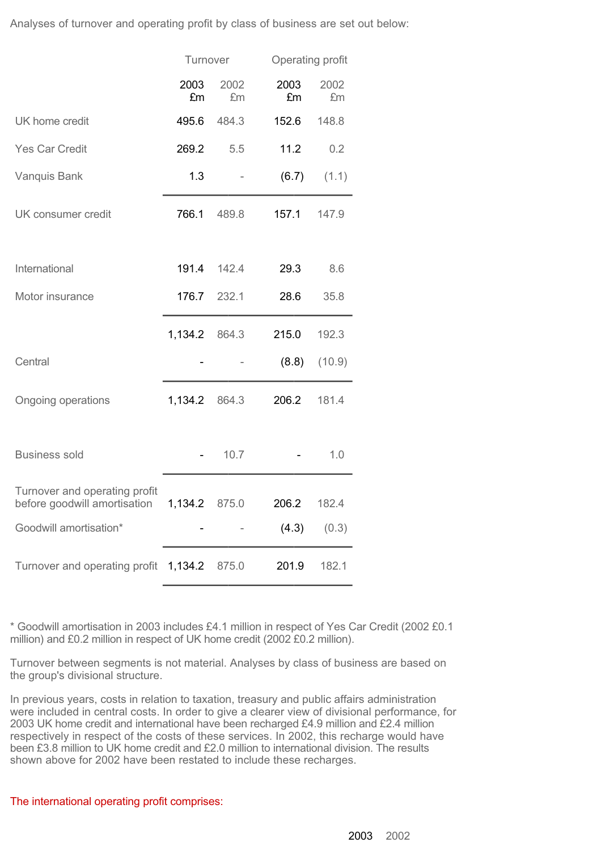Analyses of turnover and operating profit by class of business are set out below:

|                                                                             | Turnover    |            | Operating profit |            |
|-----------------------------------------------------------------------------|-------------|------------|------------------|------------|
|                                                                             | 2003<br>£m  | 2002<br>£m | 2003<br>£m       | 2002<br>£m |
| UK home credit                                                              | 495.6       | 484.3      | 152.6            | 148.8      |
| <b>Yes Car Credit</b>                                                       | 269.2       | 5.5        | 11.2             | 0.2        |
| <b>Vanquis Bank</b>                                                         | 1.3         |            | (6.7)            | (1.1)      |
| UK consumer credit                                                          | 766.1       | 489.8      | 157.1            | 147.9      |
| International                                                               | 191.4       | 142.4      | 29.3             | 8.6        |
| Motor insurance                                                             | 176.7 232.1 |            | 28.6             | 35.8       |
|                                                                             | 1,134.2     | 864.3      | 215.0            | 192.3      |
| Central                                                                     |             |            | (8.8)            | (10.9)     |
| Ongoing operations                                                          | 1,134.2     | 864.3      | 206.2            | 181.4      |
| <b>Business sold</b>                                                        |             | 10.7       |                  | 1.0        |
| Turnover and operating profit<br>before goodwill amortisation 1,134.2 875.0 |             |            | 206.2            | 182.4      |
| Goodwill amortisation*                                                      |             |            | (4.3)            | (0.3)      |
| Turnover and operating profit                                               | 1,134.2     | 875.0      | 201.9            | 182.1      |

\* Goodwill amortisation in 2003 includes £4.1 million in respect of Yes Car Credit (2002 £0.1 million) and £0.2 million in respect of UK home credit (2002 £0.2 million).

Turnover between segments is not material. Analyses by class of business are based on the group's divisional structure.

In previous years, costs in relation to taxation, treasury and public affairs administration were included in central costs. In order to give a clearer view of divisional performance, for 2003 UK home credit and international have been recharged £4.9 million and £2.4 million respectively in respect of the costs of these services. In 2002, this recharge would have been £3.8 million to UK home credit and £2.0 million to international division. The results shown above for 2002 have been restated to include these recharges.

#### The international operating profit comprises: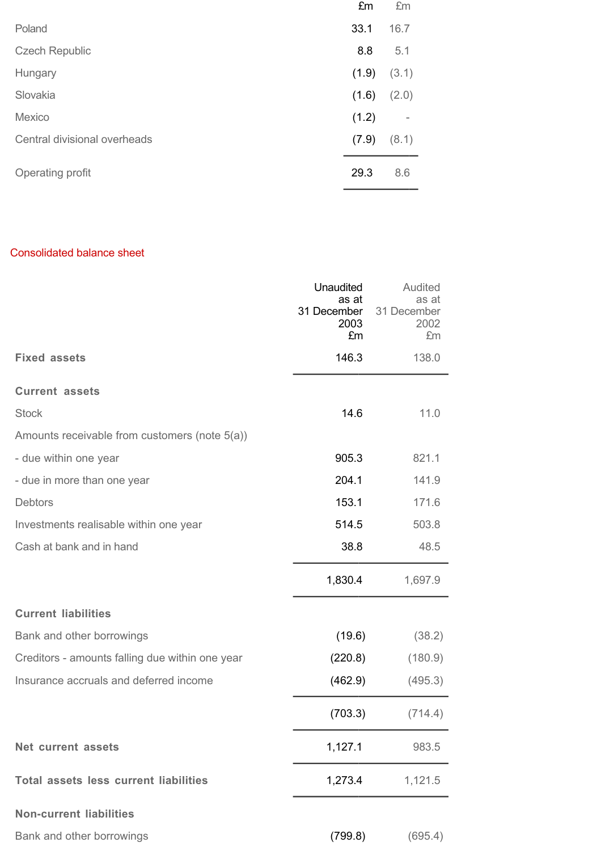|                              | £m    | £m    |
|------------------------------|-------|-------|
| Poland                       | 33.1  | 16.7  |
| <b>Czech Republic</b>        | 8.8   | 5.1   |
| Hungary                      | (1.9) | (3.1) |
| Slovakia                     | (1.6) | (2.0) |
| Mexico                       | (1.2) | ٠     |
| Central divisional overheads | (7.9) | (8.1) |
| Operating profit             | 29.3  | 8.6   |

### Consolidated balance sheet

|                                                 | Unaudited<br>as at<br>31 December<br>2003<br>£m | <b>Audited</b><br>as at<br>31 December<br>2002<br>£m |
|-------------------------------------------------|-------------------------------------------------|------------------------------------------------------|
| <b>Fixed assets</b>                             | 146.3                                           | 138.0                                                |
| <b>Current assets</b>                           |                                                 |                                                      |
| <b>Stock</b>                                    | 14.6                                            | 11.0                                                 |
| Amounts receivable from customers (note 5(a))   |                                                 |                                                      |
| - due within one year                           | 905.3                                           | 821.1                                                |
| - due in more than one year                     | 204.1                                           | 141.9                                                |
| <b>Debtors</b>                                  | 153.1                                           | 171.6                                                |
| Investments realisable within one year          | 514.5                                           | 503.8                                                |
| Cash at bank and in hand                        | 38.8                                            | 48.5                                                 |
|                                                 | 1,830.4                                         | 1,697.9                                              |
| <b>Current liabilities</b>                      |                                                 |                                                      |
| Bank and other borrowings                       | (19.6)                                          | (38.2)                                               |
| Creditors - amounts falling due within one year | (220.8)                                         | (180.9)                                              |
| Insurance accruals and deferred income          | (462.9)                                         | (495.3)                                              |
|                                                 | (703.3)                                         | (714.4)                                              |
| <b>Net current assets</b>                       | 1,127.1                                         | 983.5                                                |
| <b>Total assets less current liabilities</b>    | 1,273.4                                         | 1,121.5                                              |
| <b>Non-current liabilities</b>                  |                                                 |                                                      |
| Bank and other borrowings                       | (799.8)                                         | (695.4)                                              |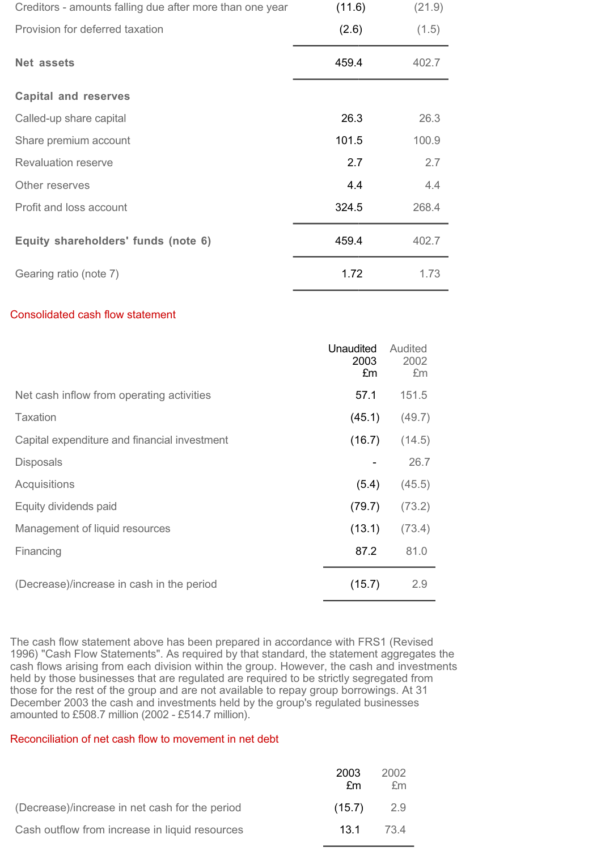| Creditors - amounts falling due after more than one year | (11.6) | (21.9) |
|----------------------------------------------------------|--------|--------|
| Provision for deferred taxation                          | (2.6)  | (1.5)  |
| Net assets                                               | 459.4  | 402.7  |
| <b>Capital and reserves</b>                              |        |        |
| Called-up share capital                                  | 26.3   | 26.3   |
| Share premium account                                    | 101.5  | 100.9  |
| <b>Revaluation reserve</b>                               | 2.7    | 2.7    |
| Other reserves                                           | 4.4    | 4.4    |
| Profit and loss account                                  | 324.5  | 268.4  |
| Equity shareholders' funds (note 6)                      | 459.4  | 402.7  |
| Gearing ratio (note 7)                                   | 1.72   | 1.73   |

#### Consolidated cash flow statement

|                                              | Unaudited<br>2003<br>£m | Audited<br>2002<br>£m |
|----------------------------------------------|-------------------------|-----------------------|
| Net cash inflow from operating activities    | 57.1                    | 151.5                 |
| Taxation                                     | (45.1)                  | (49.7)                |
| Capital expenditure and financial investment | (16.7)                  | (14.5)                |
| <b>Disposals</b>                             |                         | 26.7                  |
| Acquisitions                                 | (5.4)                   | (45.5)                |
| Equity dividends paid                        | (79.7)                  | (73.2)                |
| Management of liquid resources               | (13.1)                  | (73.4)                |
| Financing                                    | 87.2                    | 81.0                  |
| (Decrease)/increase in cash in the period    | (15.7)                  | 2.9                   |

The cash flow statement above has been prepared in accordance with FRS1 (Revised 1996) "Cash Flow Statements". As required by that standard, the statement aggregates the cash flows arising from each division within the group. However, the cash and investments held by those businesses that are regulated are required to be strictly segregated from those for the rest of the group and are not available to repay group borrowings. At 31 December 2003 the cash and investments held by the group's regulated businesses amounted to £508.7 million (2002 - £514.7 million).

## Reconciliation of net cash flow to movement in net debt

|                                                | 2003<br>fm | 2002<br>fm |
|------------------------------------------------|------------|------------|
| (Decrease)/increase in net cash for the period | (15.7)     | 2.9        |
| Cash outflow from increase in liquid resources | 131 734    |            |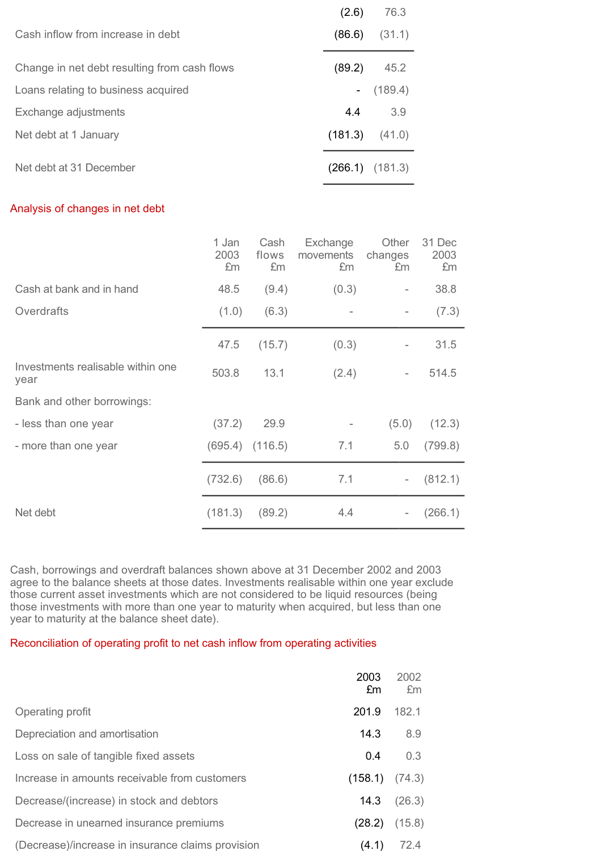|                                              | (2.6)               | 76.3    |
|----------------------------------------------|---------------------|---------|
| Cash inflow from increase in debt            | (86.6)              | (31.1)  |
| Change in net debt resulting from cash flows | (89.2)              | 45.2    |
| Loans relating to business acquired          | $\sim 100$          | (189.4) |
| Exchange adjustments                         | 4.4                 | 3.9     |
| Net debt at 1 January                        | (181.3)             | (41.0)  |
| Net debt at 31 December                      | $(266.1)$ $(181.3)$ |         |

### Analysis of changes in net debt

|                                           | 1 Jan<br>2003<br>£m | Cash<br>flows<br>£m | Exchange<br>movements<br>£m | Other<br>changes<br>£m | 31 Dec<br>2003<br>£m |
|-------------------------------------------|---------------------|---------------------|-----------------------------|------------------------|----------------------|
| Cash at bank and in hand                  | 48.5                | (9.4)               | (0.3)                       |                        | 38.8                 |
| Overdrafts                                | (1.0)               | (6.3)               |                             | -                      | (7.3)                |
|                                           | 47.5                | (15.7)              | (0.3)                       |                        | 31.5                 |
| Investments realisable within one<br>year | 503.8               | 13.1                | (2.4)                       |                        | 514.5                |
| Bank and other borrowings:                |                     |                     |                             |                        |                      |
| - less than one year                      | (37.2)              | 29.9                |                             | (5.0)                  | (12.3)               |
| - more than one year                      |                     | $(695.4)$ $(116.5)$ | 7.1                         | 5.0                    | (799.8)              |
|                                           | (732.6)             | (86.6)              | 7.1                         |                        | (812.1)              |
| Net debt                                  | (181.3)             | (89.2)              | 4.4                         |                        | (266.1)              |

Cash, borrowings and overdraft balances shown above at 31 December 2002 and 2003 agree to the balance sheets at those dates. Investments realisable within one year exclude those current asset investments which are not considered to be liquid resources (being those investments with more than one year to maturity when acquired, but less than one year to maturity at the balance sheet date).

#### Reconciliation of operating profit to net cash inflow from operating activities

|                                                   | 2003<br>£m | 2002<br>£m |
|---------------------------------------------------|------------|------------|
| Operating profit                                  | 201.9      | 182.1      |
| Depreciation and amortisation                     | 14.3       | 8.9        |
| Loss on sale of tangible fixed assets             | 0.4        | 0.3        |
| Increase in amounts receivable from customers     | (158.1)    | (74.3)     |
| Decrease/(increase) in stock and debtors          | 14.3       | (26.3)     |
| Decrease in unearned insurance premiums           | (28.2)     | (15.8)     |
| (Decrease)/increase in insurance claims provision | (4.1)      | 72.4       |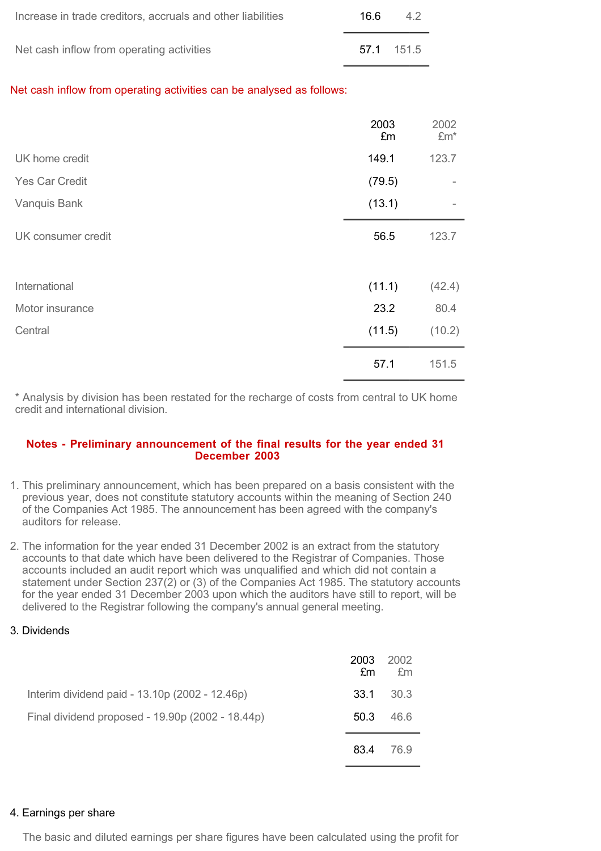| Increase in trade creditors, accruals and other liabilities | 16 6 | 42       |
|-------------------------------------------------------------|------|----------|
| Net cash inflow from operating activities                   |      | 571 1515 |

Net cash inflow from operating activities can be analysed as follows:

|                       | 2003<br>£m | 2002<br>$Em*$ |
|-----------------------|------------|---------------|
| UK home credit        | 149.1      | 123.7         |
| <b>Yes Car Credit</b> | (79.5)     | -             |
| Vanquis Bank          | (13.1)     | ۰             |
| UK consumer credit    | 56.5       | 123.7         |
| International         | (11.1)     | (42.4)        |
| Motor insurance       | 23.2       | 80.4          |
| Central               | (11.5)     | (10.2)        |
|                       | 57.1       | 151.5         |

\* Analysis by division has been restated for the recharge of costs from central to UK home credit and international division.

#### **Notes - Preliminary announcement of the final results for the year ended 31 December 2003**

- 1. This preliminary announcement, which has been prepared on a basis consistent with the previous year, does not constitute statutory accounts within the meaning of Section 240 of the Companies Act 1985. The announcement has been agreed with the company's auditors for release.
- 2. The information for the year ended 31 December 2002 is an extract from the statutory accounts to that date which have been delivered to the Registrar of Companies. Those accounts included an audit report which was unqualified and which did not contain a statement under Section 237(2) or (3) of the Companies Act 1985. The statutory accounts for the year ended 31 December 2003 upon which the auditors have still to report, will be delivered to the Registrar following the company's annual general meeting.
- 3. Dividends

|                                                  | 2003<br>£m | 2002<br>£m |
|--------------------------------------------------|------------|------------|
| Interim dividend paid - 13.10p (2002 - 12.46p)   | 33.1       | 30.3       |
| Final dividend proposed - 19.90p (2002 - 18.44p) | 50.3       | 46.6       |
|                                                  | 83.4       | 76.9       |

#### 4. Earnings per share

The basic and diluted earnings per share figures have been calculated using the profit for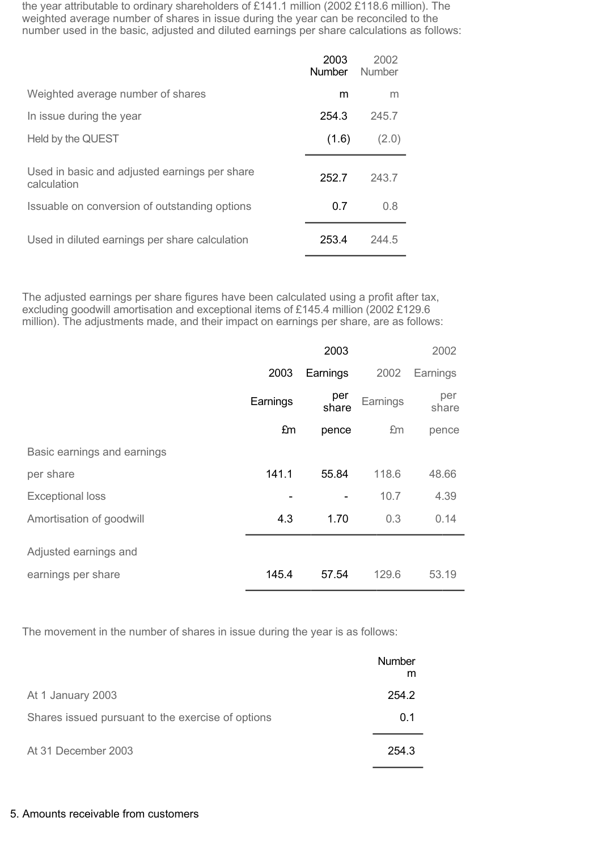the year attributable to ordinary shareholders of £141.1 million (2002 £118.6 million). The weighted average number of shares in issue during the year can be reconciled to the number used in the basic, adjusted and diluted earnings per share calculations as follows:

|                                                                                                               | 2003<br><b>Number</b> | 2002<br>Number |
|---------------------------------------------------------------------------------------------------------------|-----------------------|----------------|
| Weighted average number of shares                                                                             | m                     | m              |
| In issue during the year                                                                                      | 2543                  | 245.7          |
| Held by the QUEST                                                                                             | (1.6)                 | (2.0)          |
| Used in basic and adjusted earnings per share<br>calculation<br>Issuable on conversion of outstanding options | 252.7<br>0.7          | 243.7<br>0.8   |
| Used in diluted earnings per share calculation                                                                | 253.4                 | 244.5          |

The adjusted earnings per share figures have been calculated using a profit after tax, excluding goodwill amortisation and exceptional items of £145.4 million (2002 £129.6 million). The adjustments made, and their impact on earnings per share, are as follows:

|                             |          | 2003         |          | 2002         |
|-----------------------------|----------|--------------|----------|--------------|
|                             | 2003     | Earnings     | 2002     | Earnings     |
|                             | Earnings | per<br>share | Earnings | per<br>share |
|                             | £m       | pence        | £m       | pence        |
| Basic earnings and earnings |          |              |          |              |
| per share                   | 141.1    | 55.84        | 118.6    | 48.66        |
| <b>Exceptional loss</b>     |          |              | 10.7     | 4.39         |
| Amortisation of goodwill    | 4.3      | 1.70         | 0.3      | 0.14         |
| Adjusted earnings and       |          |              |          |              |
| earnings per share          | 145.4    | 57.54        | 129.6    | 53.19        |

The movement in the number of shares in issue during the year is as follows:

|                                                   | Number<br>m |
|---------------------------------------------------|-------------|
| At 1 January 2003                                 | 254.2       |
| Shares issued pursuant to the exercise of options | 0.1         |
| At 31 December 2003                               | 254.3       |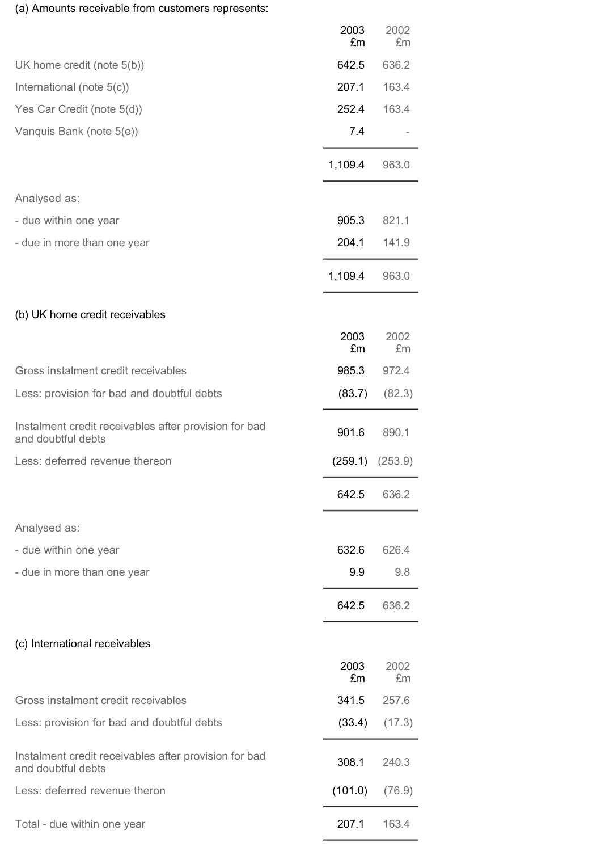# (a) Amounts receivable from customers represents:

|                                                                             | 2003<br>£m | 2002<br>£m |
|-----------------------------------------------------------------------------|------------|------------|
| UK home credit (note 5(b))                                                  | 642.5      | 636.2      |
| International (note 5(c))                                                   | 207.1      | 163.4      |
| Yes Car Credit (note 5(d))                                                  | 252.4      | 163.4      |
| Vanquis Bank (note 5(e))                                                    | 7.4        |            |
|                                                                             | 1,109.4    | 963.0      |
| Analysed as:                                                                |            |            |
| - due within one year                                                       | 905.3      | 821.1      |
| - due in more than one year                                                 | 204.1      | 141.9      |
|                                                                             | 1,109.4    | 963.0      |
| (b) UK home credit receivables                                              |            |            |
|                                                                             | 2003<br>£m | 2002<br>£m |
| Gross instalment credit receivables                                         | 985.3      | 972.4      |
| Less: provision for bad and doubtful debts                                  | (83.7)     | (82.3)     |
| Instalment credit receivables after provision for bad<br>and doubtful debts | 901.6      | 890.1      |
| Less: deferred revenue thereon                                              | (259.1)    | (253.9)    |
|                                                                             | 642.5      | 636.2      |
| Analysed as:                                                                |            |            |
| - due within one year                                                       | 632.6      | 626.4      |
| - due in more than one year                                                 | 9.9        | 9.8        |
|                                                                             | 642.5      | 636.2      |
| (c) International receivables                                               |            |            |
|                                                                             | 2003<br>£m | 2002<br>£m |
| Gross instalment credit receivables                                         | 341.5      | 257.6      |
| Less: provision for bad and doubtful debts                                  | (33.4)     | (17.3)     |
| Instalment credit receivables after provision for bad<br>and doubtful debts | 308.1      | 240.3      |
| Less: deferred revenue theron                                               | (101.0)    | (76.9)     |
| Total - due within one year                                                 | 207.1      | 163.4      |
|                                                                             |            |            |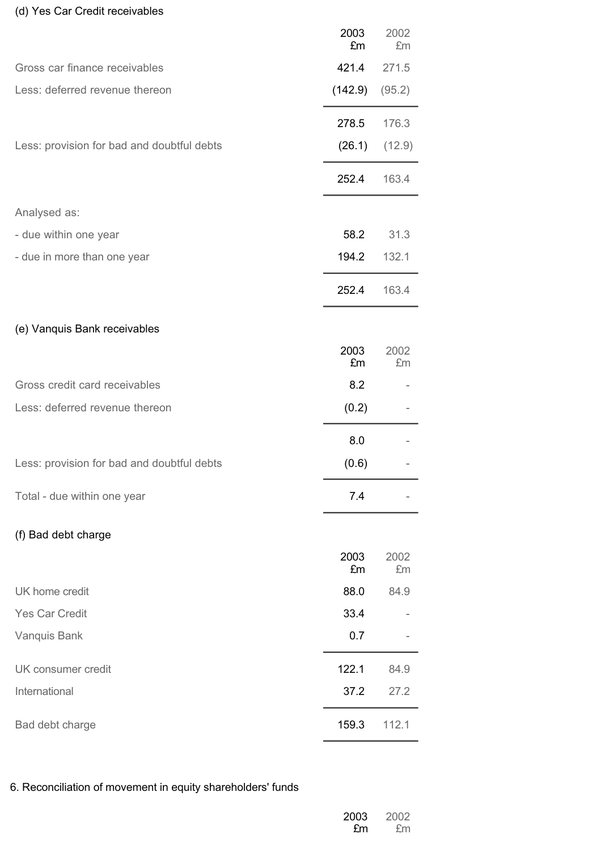# (d) Yes Car Credit receivables

|                                            | 2003<br>£m | 2002<br>£m |
|--------------------------------------------|------------|------------|
| Gross car finance receivables              | 421.4      | 271.5      |
| Less: deferred revenue thereon             | (142.9)    | (95.2)     |
|                                            | 278.5      | 176.3      |
| Less: provision for bad and doubtful debts | (26.1)     | (12.9)     |
|                                            | 252.4      | 163.4      |
| Analysed as:                               |            |            |
| - due within one year                      | 58.2       | 31.3       |
| - due in more than one year                | 194.2      | 132.1      |
|                                            | 252.4      | 163.4      |
| (e) Vanquis Bank receivables               |            |            |
|                                            | 2003<br>£m | 2002<br>£m |
| Gross credit card receivables              | 8.2        |            |
| Less: deferred revenue thereon             | (0.2)      |            |
|                                            | 8.0        |            |
| Less: provision for bad and doubtful debts | (0.6)      |            |
| Total - due within one year                | 7.4        |            |
| (f) Bad debt charge                        |            |            |
|                                            | 2003<br>£m | 2002<br>£m |
| UK home credit                             | 88.0       | 84.9       |
| <b>Yes Car Credit</b>                      | 33.4       |            |
| Vanquis Bank                               | 0.7        |            |
| UK consumer credit                         | 122.1      | 84.9       |
| International                              | 37.2       | 27.2       |
| Bad debt charge                            | 159.3      | 112.1      |

# 6. Reconciliation of movement in equity shareholders' funds

| 2003 | 2002 |
|------|------|
| £m   | £m   |